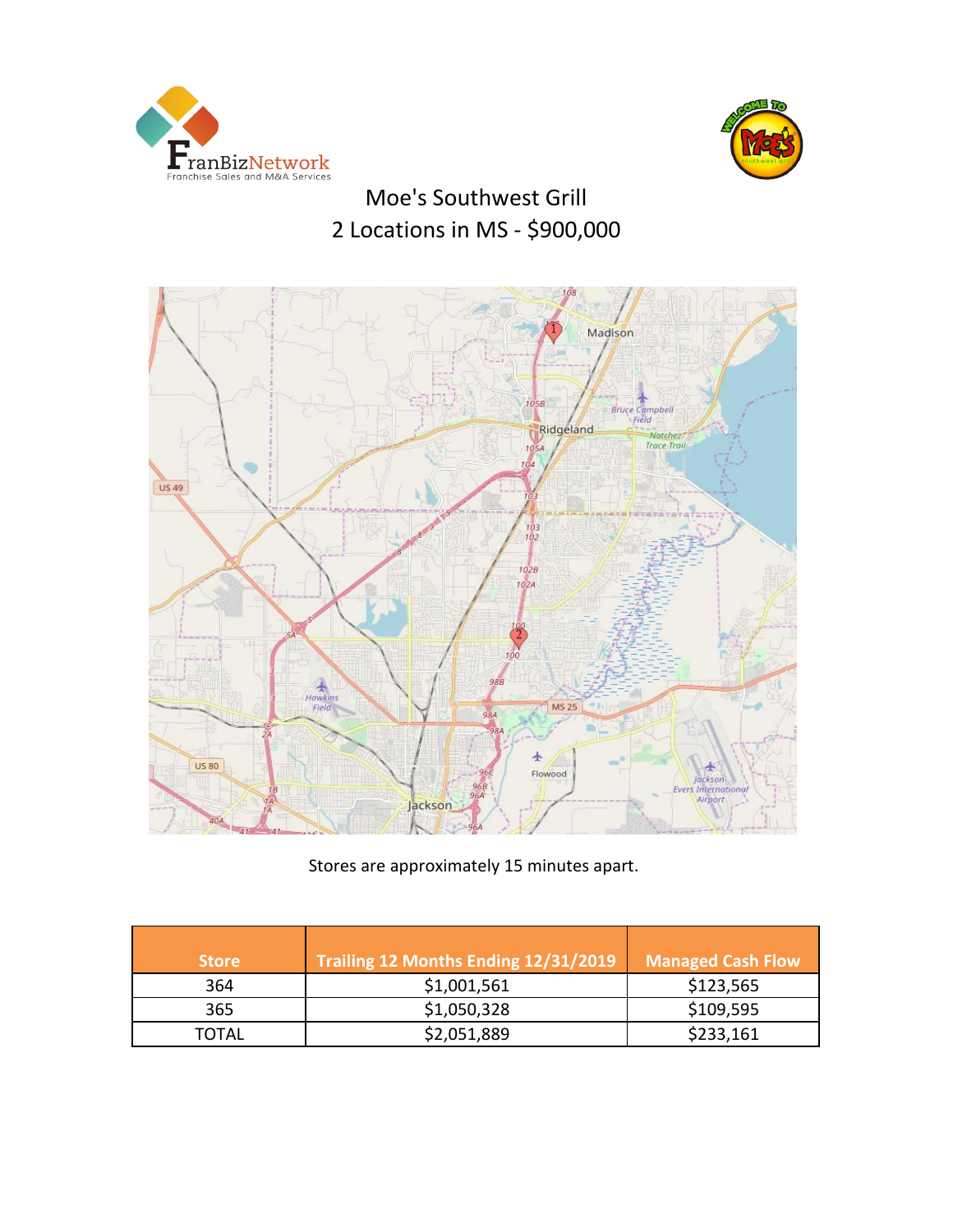



# Moe's Southwest Grill 2 Locations in MS - \$900,000



Stores are approximately 15 minutes apart.

| <b>Store</b> | Trailing 12 Months Ending 12/31/2019 | <b>Managed Cash Flow</b> |
|--------------|--------------------------------------|--------------------------|
| 364          | \$1,001,561                          | \$123,565                |
| 365          | \$1,050,328                          | \$109,595                |
| TOTAL        | \$2,051,889                          | \$233,161                |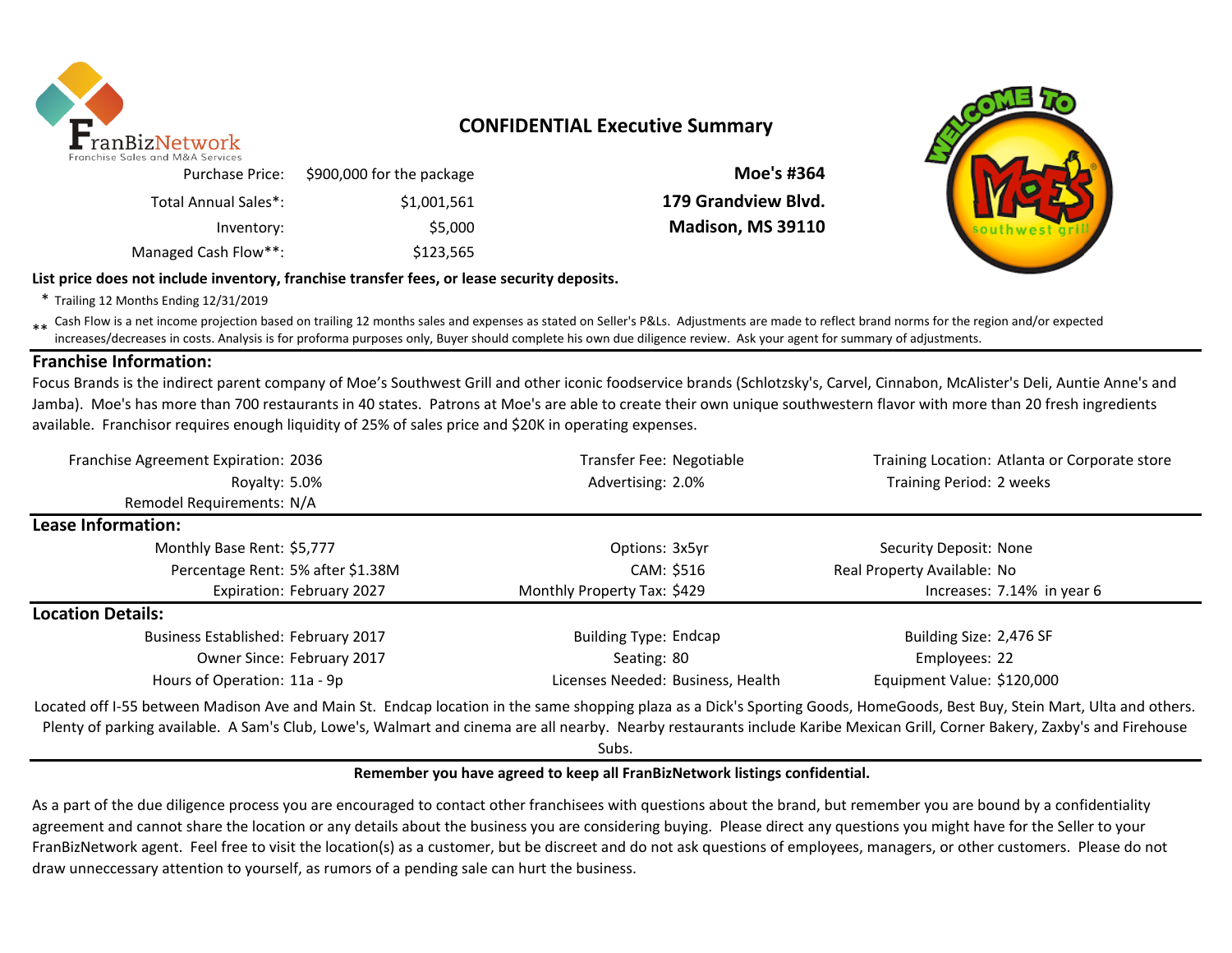

## **CONFIDENTIAL Executive Summary**

|                     |                           | ichise Sales and M&A Services |
|---------------------|---------------------------|-------------------------------|
| Moe's #364          | \$900,000 for the package | Purchase Price:               |
| 179 Grandview Blvd. | \$1,001,561               | Total Annual Sales*:          |
| Madison, MS 39110   | \$5,000                   | Inventory:                    |
|                     | \$123,565                 | Managed Cash Flow**:          |



\* Trailing 12 Months Ending 12/31/2019

\*\* Cash Flow is a net income projection based on trailing 12 months sales and expenses as stated on Seller's P&Ls. Adjustments are made to reflect brand norms for the region and/or expected in costs. Analysis is for profor increases/decreases in costs. Analysis is for proforma purposes only, Buyer should complete his own due diligence review. Ask your agent for summary of adjustments.

## **Franchise Information:**

Focus Brands is the indirect parent company of Moe's Southwest Grill and other iconic foodservice brands (Schlotzsky's, Carvel, Cinnabon, McAlister's Deli, Auntie Anne's and Jamba). Moe's has more than 700 restaurants in 40 states. Patrons at Moe's are able to create their own unique southwestern flavor with more than 20 fresh ingredients available. Franchisor requires enough liquidity of 25% of sales price and \$20K in operating expenses.

| Franchise Agreement Expiration: 2036                                                                                                                                                                                                                                                                                                                      | Transfer Fee: Negotiable          | Training Location: Atlanta or Corporate store |  |  |
|-----------------------------------------------------------------------------------------------------------------------------------------------------------------------------------------------------------------------------------------------------------------------------------------------------------------------------------------------------------|-----------------------------------|-----------------------------------------------|--|--|
| Royalty: 5.0%                                                                                                                                                                                                                                                                                                                                             | Advertising: 2.0%                 | Training Period: 2 weeks                      |  |  |
| Remodel Requirements: N/A                                                                                                                                                                                                                                                                                                                                 |                                   |                                               |  |  |
| Lease Information:                                                                                                                                                                                                                                                                                                                                        |                                   |                                               |  |  |
| Monthly Base Rent: \$5,777                                                                                                                                                                                                                                                                                                                                | Options: 3x5yr                    | Security Deposit: None                        |  |  |
| Percentage Rent: 5% after \$1.38M                                                                                                                                                                                                                                                                                                                         | CAM: \$516                        | Real Property Available: No                   |  |  |
| Expiration: February 2027                                                                                                                                                                                                                                                                                                                                 | Monthly Property Tax: \$429       | Increases: 7.14% in year 6                    |  |  |
| <b>Location Details:</b>                                                                                                                                                                                                                                                                                                                                  |                                   |                                               |  |  |
| <b>Business Established: February 2017</b>                                                                                                                                                                                                                                                                                                                | <b>Building Type: Endcap</b>      | Building Size: 2,476 SF                       |  |  |
| Owner Since: February 2017                                                                                                                                                                                                                                                                                                                                | Seating: 80                       | Employees: 22                                 |  |  |
| Hours of Operation: 11a - 9p                                                                                                                                                                                                                                                                                                                              | Licenses Needed: Business, Health | Equipment Value: \$120,000                    |  |  |
| Located off I-55 between Madison Ave and Main St. Endcap location in the same shopping plaza as a Dick's Sporting Goods, HomeGoods, Best Buy, Stein Mart, Ulta and others.<br>Plenty of parking available. A Sam's Club, Lowe's, Walmart and cinema are all nearby. Nearby restaurants include Karibe Mexican Grill, Corner Bakery, Zaxby's and Firehouse |                                   |                                               |  |  |

Subs.

#### **Remember you have agreed to keep all FranBizNetwork listings confidential.**

As a part of the due diligence process you are encouraged to contact other franchisees with questions about the brand, but remember you are bound by a confidentiality agreement and cannot share the location or any details about the business you are considering buying. Please direct any questions you might have for the Seller to your FranBizNetwork agent. Feel free to visit the location(s) as a customer, but be discreet and do not ask questions of employees, managers, or other customers. Please do not draw unneccessary attention to yourself, as rumors of a pending sale can hurt the business.

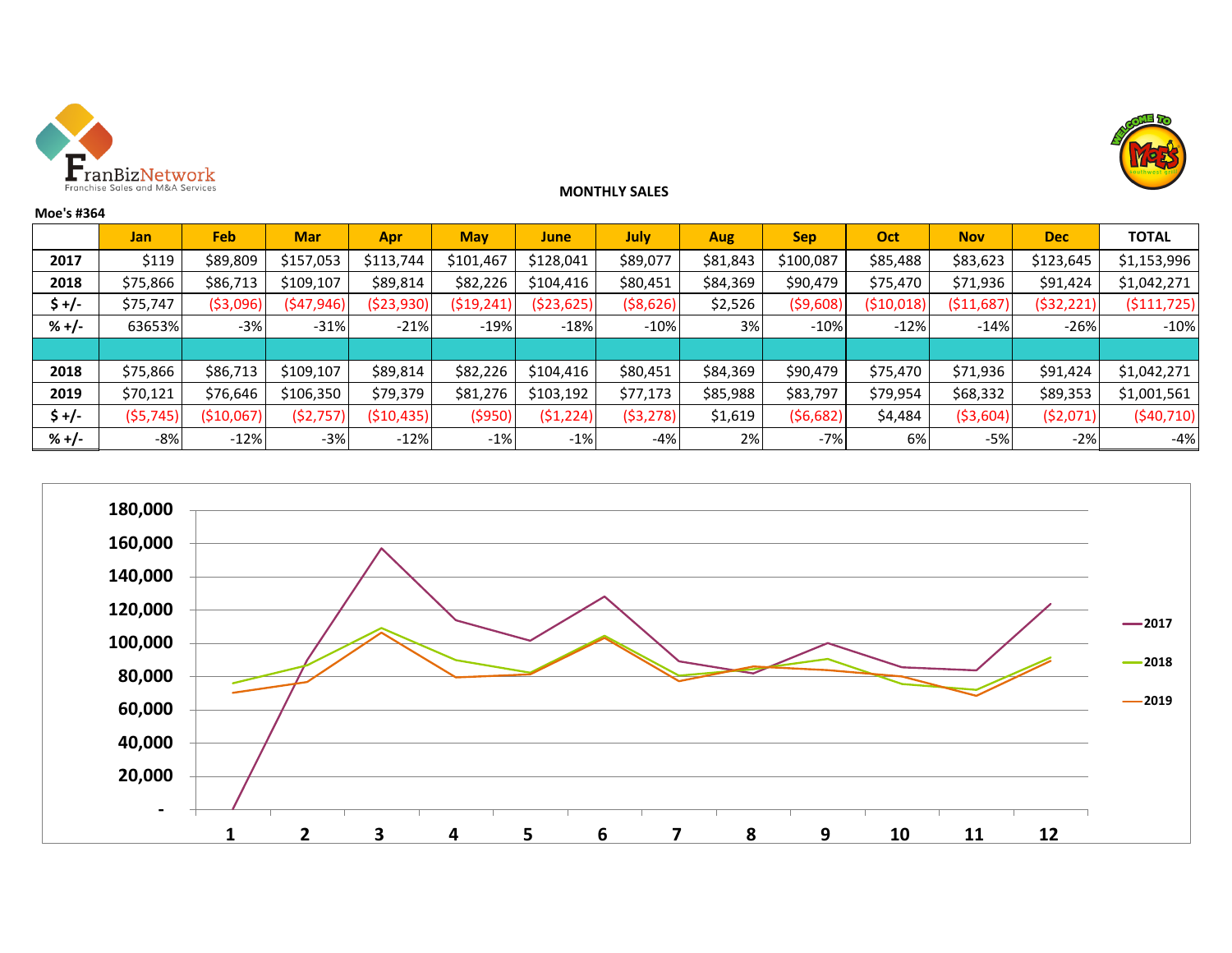



## **MONTHLY SALES**

| Moe's #364 |            |             |            |             |            |            |             |          |            |            |            |            |               |
|------------|------------|-------------|------------|-------------|------------|------------|-------------|----------|------------|------------|------------|------------|---------------|
|            | <b>Jan</b> | Feb         | <b>Mar</b> | Apr         | <b>May</b> | June       | <b>July</b> | Aug      | <b>Sep</b> | Oct        | <b>Nov</b> | <b>Dec</b> | <b>TOTAL</b>  |
| 2017       | \$119      | \$89,809    | \$157,053  | \$113,744   | \$101,467  | \$128,041  | \$89,077    | \$81,843 | \$100,087  | \$85,488   | \$83,623   | \$123,645  | \$1,153,996   |
| 2018       | \$75,866   | \$86,713    | \$109,107  | \$89,814    | \$82,226   | \$104,416  | \$80,451    | \$84,369 | \$90,479   | \$75,470   | \$71,936   | \$91,424   | \$1,042,271   |
| \$ +/-     | \$75,747   | (\$3,096)   | (\$47,946) | (\$23,930)  | (519, 241) | (\$23,625) | ( \$8,626)  | \$2,526  | ( \$9,608) | (\$10,018) | (511,687)  | (\$32,221) | ( \$111, 725) |
| $% +/-$    | 63653%     | $-3%$       | $-31%$     | $-21%$      | $-19%$     | $-18%$     | $-10%$      | 3%       | $-10%$     | $-12%$     | $-14%$     | $-26%$     | $-10%$        |
|            |            |             |            |             |            |            |             |          |            |            |            |            |               |
| 2018       | \$75,866   | \$86,713    | \$109,107  | \$89,814    | \$82,226   | \$104,416  | \$80,451    | \$84,369 | \$90,479   | \$75,470   | \$71,936   | \$91,424   | \$1,042,271   |
| 2019       | \$70,121   | \$76,646    | \$106,350  | \$79,379    | \$81,276   | \$103,192  | \$77,173    | \$85,988 | \$83,797   | \$79,954   | \$68,332   | \$89,353   | \$1,001,561   |
| \$+/-      | (55, 745)  | ( \$10,067) | (52, 757)  | ( \$10,435) | ( \$950)   | (51, 224)  | ( \$3,278)  | \$1,619  | (56, 682)  | \$4,484    | ( \$3,604) | (52,071)   | (\$40,710)    |
| $% +/-$    | $-8%$      | $-12%$      | $-3%$      | $-12%$      | $-1%$      | $-1%$      | -4%         | 2%       | $-7%$      | 6%         | -5%        | $-2%$      | $-4%$         |

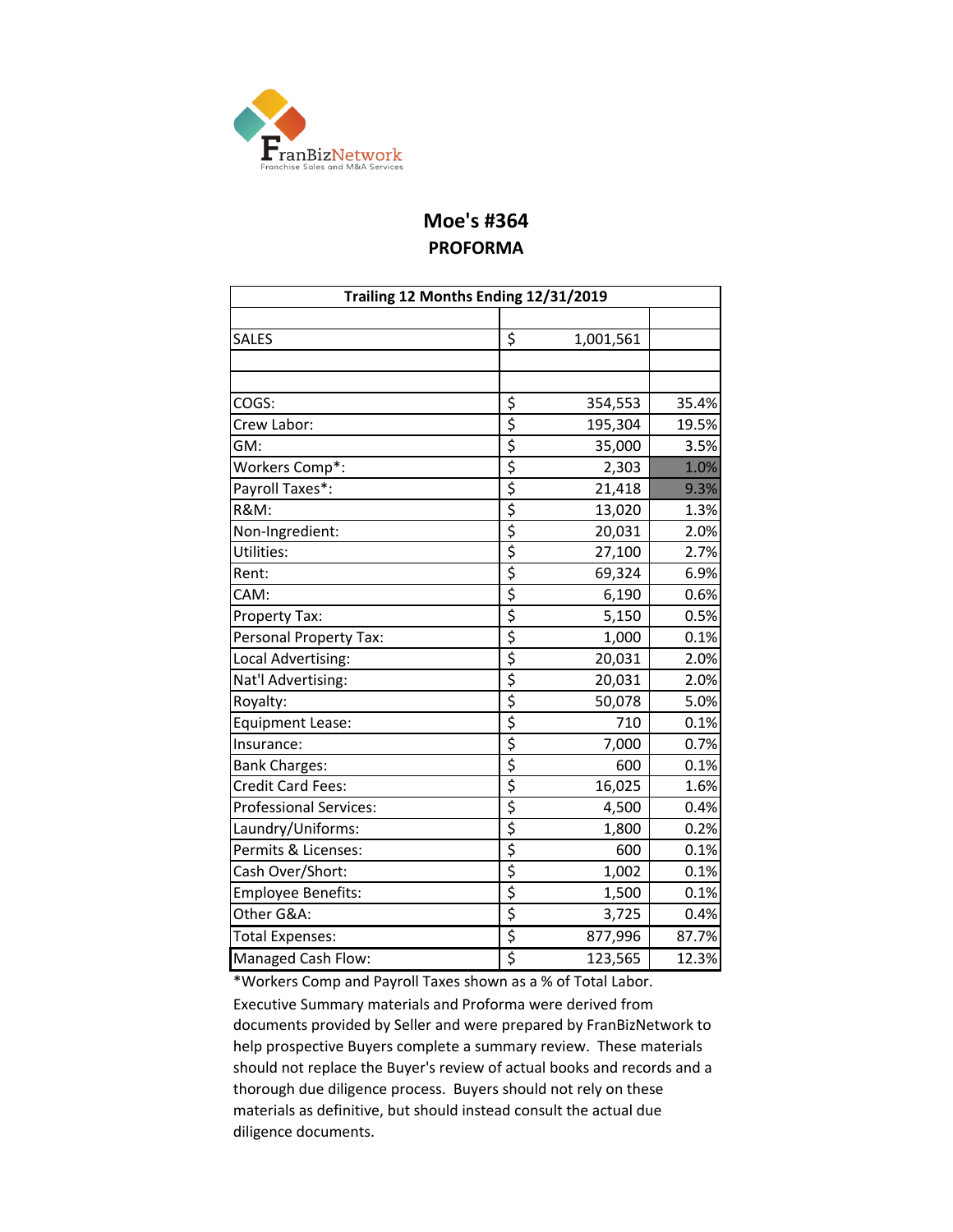

# **Moe's #364 PROFORMA**

| Trailing 12 Months Ending 12/31/2019 |                  |           |       |  |  |  |  |
|--------------------------------------|------------------|-----------|-------|--|--|--|--|
|                                      |                  |           |       |  |  |  |  |
| SALES                                | \$               | 1,001,561 |       |  |  |  |  |
|                                      |                  |           |       |  |  |  |  |
|                                      |                  |           |       |  |  |  |  |
| COGS:                                | \$               | 354,553   | 35.4% |  |  |  |  |
| Crew Labor:                          | \$               | 195,304   | 19.5% |  |  |  |  |
| GM:                                  | \$               | 35,000    | 3.5%  |  |  |  |  |
| Workers Comp*:                       | \$               | 2,303     | 1.0%  |  |  |  |  |
| Payroll Taxes*:                      | \$               | 21,418    | 9.3%  |  |  |  |  |
| <b>R&amp;M:</b>                      | \$               | 13,020    | 1.3%  |  |  |  |  |
| Non-Ingredient:                      | \$               | 20,031    | 2.0%  |  |  |  |  |
| Utilities:                           | $\overline{\xi}$ | 27,100    | 2.7%  |  |  |  |  |
| Rent:                                | \$               | 69,324    | 6.9%  |  |  |  |  |
| CAM:                                 | \$               | 6,190     | 0.6%  |  |  |  |  |
| Property Tax:                        | \$               | 5,150     | 0.5%  |  |  |  |  |
| Personal Property Tax:               | \$               | 1,000     | 0.1%  |  |  |  |  |
| Local Advertising:                   | \$               | 20,031    | 2.0%  |  |  |  |  |
| Nat'l Advertising:                   | \$               | 20,031    | 2.0%  |  |  |  |  |
| Royalty:                             | \$               | 50,078    | 5.0%  |  |  |  |  |
| Equipment Lease:                     | \$               | 710       | 0.1%  |  |  |  |  |
| Insurance:                           | \$               | 7,000     | 0.7%  |  |  |  |  |
| <b>Bank Charges:</b>                 | \$               | 600       | 0.1%  |  |  |  |  |
| <b>Credit Card Fees:</b>             | \$               | 16,025    | 1.6%  |  |  |  |  |
| <b>Professional Services:</b>        | \$               | 4,500     | 0.4%  |  |  |  |  |
| Laundry/Uniforms:                    | \$               | 1,800     | 0.2%  |  |  |  |  |
| Permits & Licenses:                  | \$               | 600       | 0.1%  |  |  |  |  |
| Cash Over/Short:                     | \$               | 1,002     | 0.1%  |  |  |  |  |
| <b>Employee Benefits:</b>            | \$               | 1,500     | 0.1%  |  |  |  |  |
| Other G&A:                           | \$               | 3,725     | 0.4%  |  |  |  |  |
| <b>Total Expenses:</b>               | \$               | 877,996   | 87.7% |  |  |  |  |
| Managed Cash Flow:                   | \$               | 123,565   | 12.3% |  |  |  |  |

\*Workers Comp and Payroll Taxes shown as a % of Total Labor. Executive Summary materials and Proforma were derived from documents provided by Seller and were prepared by FranBizNetwork to help prospective Buyers complete a summary review. These materials should not replace the Buyer's review of actual books and records and a thorough due diligence process. Buyers should not rely on these materials as definitive, but should instead consult the actual due diligence documents.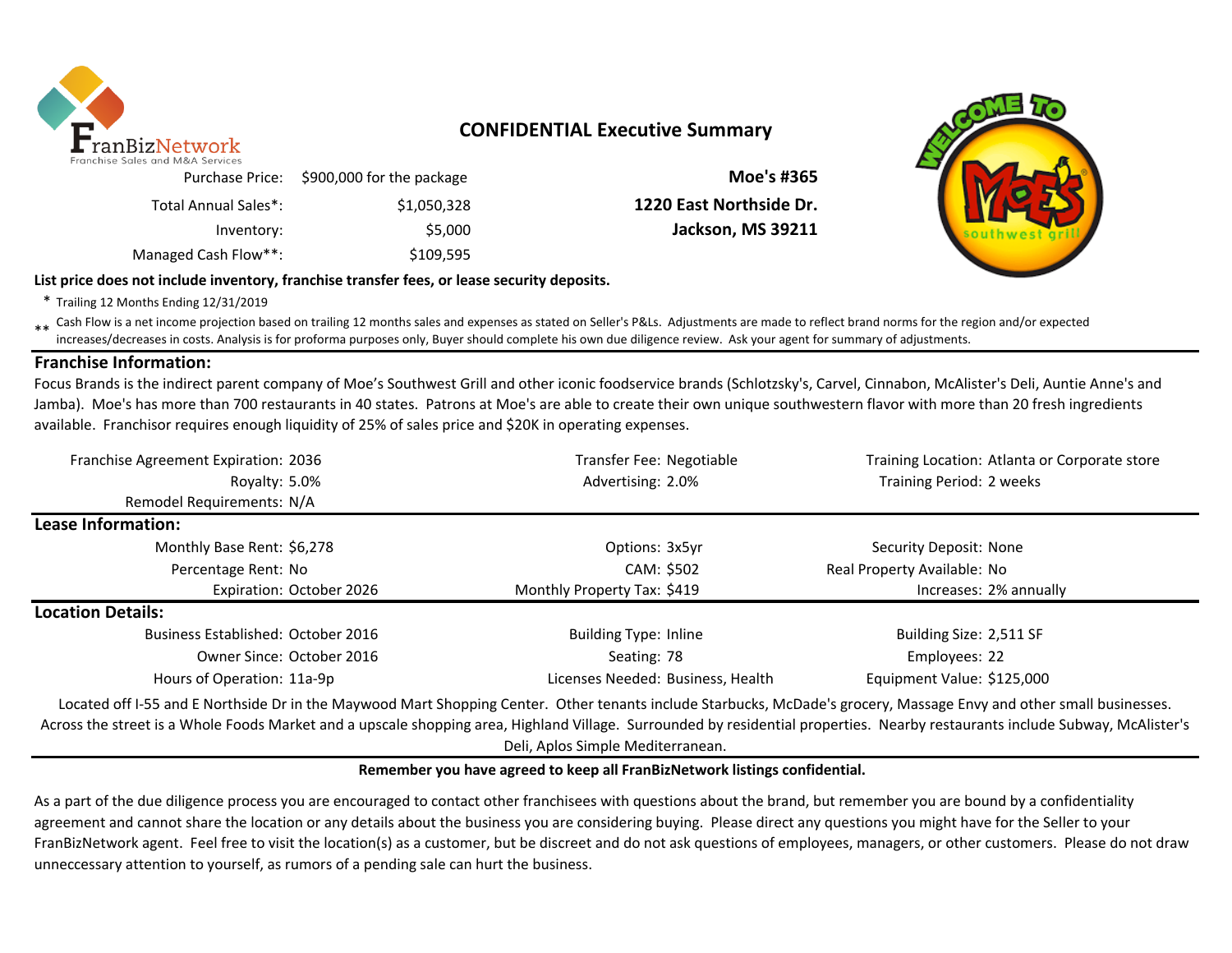

## **CONFIDENTIAL Executive Summary**

| Moe's #365               | Purchase Price: \$900,000 for the package | $=$ 20163 0110 1710.77 26171663 |
|--------------------------|-------------------------------------------|---------------------------------|
| 1220 East Northside Dr.  | \$1,050,328                               | Total Annual Sales*:            |
| <b>Jackson, MS 39211</b> | \$5,000                                   | Inventory:                      |
|                          | \$109,595                                 | Managed Cash Flow**:            |

**List price does not include inventory, franchise transfer fees, or lease security deposits.**

\* Trailing 12 Months Ending 12/31/2019

\*\* Cash Flow is a net income projection based on trailing 12 months sales and expenses as stated on Seller's P&Ls. Adjustments are made to reflect brand norms for the region and/or expected in the region and/or expected in increases/decreases in costs. Analysis is for proforma purposes only, Buyer should complete his own due diligence review. Ask your agent for summary of adjustments.

## **Franchise Information:**

Focus Brands is the indirect parent company of Moe's Southwest Grill and other iconic foodservice brands (Schlotzsky's, Carvel, Cinnabon, McAlister's Deli, Auntie Anne's and Jamba). Moe's has more than 700 restaurants in 40 states. Patrons at Moe's are able to create their own unique southwestern flavor with more than 20 fresh ingredients available. Franchisor requires enough liquidity of 25% of sales price and \$20K in operating expenses.

| Franchise Agreement Expiration: 2036                                                                                                                                                                                                                                       | Transfer Fee: Negotiable          | Training Location: Atlanta or Corporate store |
|----------------------------------------------------------------------------------------------------------------------------------------------------------------------------------------------------------------------------------------------------------------------------|-----------------------------------|-----------------------------------------------|
| Royalty: 5.0%                                                                                                                                                                                                                                                              | Advertising: 2.0%                 | Training Period: 2 weeks                      |
| Remodel Requirements: N/A                                                                                                                                                                                                                                                  |                                   |                                               |
| Lease Information:                                                                                                                                                                                                                                                         |                                   |                                               |
| Monthly Base Rent: \$6,278                                                                                                                                                                                                                                                 | Options: 3x5yr                    | Security Deposit: None                        |
| Percentage Rent: No                                                                                                                                                                                                                                                        | CAM: \$502                        | Real Property Available: No                   |
| Expiration: October 2026                                                                                                                                                                                                                                                   | Monthly Property Tax: \$419       | Increases: 2% annually                        |
| <b>Location Details:</b>                                                                                                                                                                                                                                                   |                                   |                                               |
| Business Established: October 2016                                                                                                                                                                                                                                         | <b>Building Type: Inline</b>      | Building Size: 2,511 SF                       |
| Owner Since: October 2016                                                                                                                                                                                                                                                  | Seating: 78                       | Employees: 22                                 |
| Hours of Operation: 11a-9p                                                                                                                                                                                                                                                 | Licenses Needed: Business, Health | Equipment Value: \$125,000                    |
| Located off I-55 and E Northside Dr in the Maywood Mart Shopping Center. Other tenants include Starbucks, McDade's grocery, Massage Envy and other small businesses.<br>التطفيف الضلالية بالتفاني الباليا التاليات المستوات المتارين التاليات المقاحات المتابعات والمتحارث |                                   |                                               |

Across the street is a Whole Foods Market and a upscale shopping area, Highland Village. Surrounded by residential properties. Nearby restaurants include Subway, McAlister's Deli, Aplos Simple Mediterranean.

#### **Remember you have agreed to keep all FranBizNetwork listings confidential.**

As a part of the due diligence process you are encouraged to contact other franchisees with questions about the brand, but remember you are bound by a confidentiality agreement and cannot share the location or any details about the business you are considering buying. Please direct any questions you might have for the Seller to your FranBizNetwork agent. Feel free to visit the location(s) as a customer, but be discreet and do not ask questions of employees, managers, or other customers. Please do not draw unneccessary attention to yourself, as rumors of a pending sale can hurt the business.

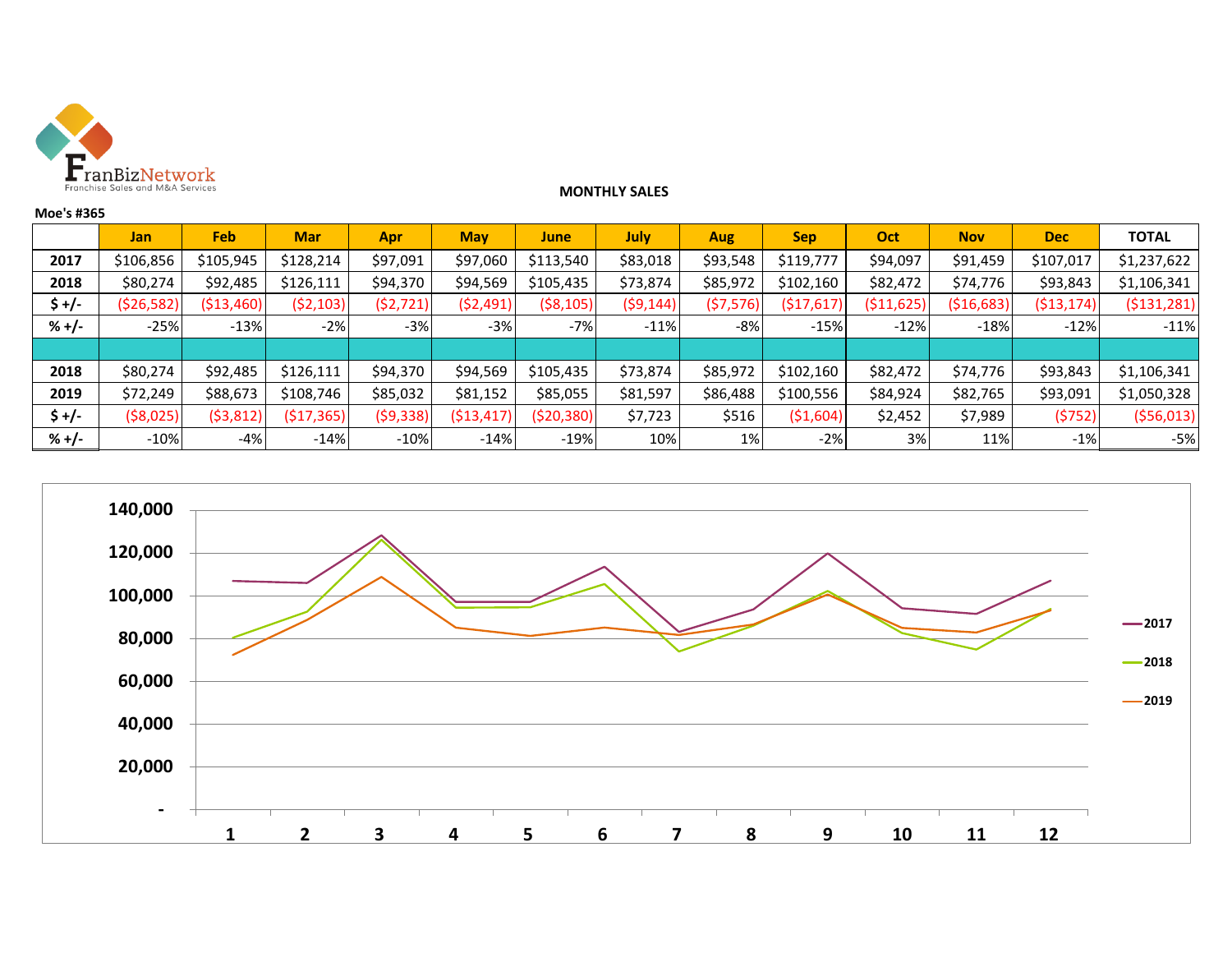

### **MONTHLY SALES**

|         | <b>Jan</b>   | Feb         | <b>Mar</b> | Apr       | <b>May</b>  | <b>June</b>  | July      | <b>Aug</b> | <b>Sep</b> | Oct            | <b>Nov</b>  | <b>Dec</b>   | <b>TOTAL</b>  |
|---------|--------------|-------------|------------|-----------|-------------|--------------|-----------|------------|------------|----------------|-------------|--------------|---------------|
| 2017    | \$106,856    | \$105,945   | \$128,214  | \$97,091  | \$97,060    | \$113,540    | \$83,018  | \$93,548   | \$119,777  | \$94,097       | \$91,459    | \$107,017    | \$1,237,622   |
| 2018    | \$80,274     | \$92,485    | \$126,111  | \$94,370  | \$94,569    | \$105,435    | \$73,874  | \$85,972   | \$102,160  | \$82,472       | \$74,776    | \$93,843     | \$1,106,341   |
| \$ +/-  | ( \$26, 582) | ( \$13,460) | (52, 103)  | (52, 721) | (52, 491)   | ( \$8,105)   | (59, 144) | (\$7,576)  | (\$17,617) | .625)<br>(\$11 | ( \$16,683) | ( \$13, 174] | ( \$131, 281) |
| $% +/-$ | $-25%$       | $-13%$      | $-2%$      | $-3%$     | $-3%$       | $-7%$        | $-11%$    | $-8%$      | $-15%$     | $-12%$         | $-18%$      | $-12%$       | $-11%$        |
|         |              |             |            |           |             |              |           |            |            |                |             |              |               |
| 2018    | \$80,274     | \$92,485    | \$126,111  | \$94,370  | \$94,569    | \$105,435    | \$73,874  | \$85,972   | \$102,160  | \$82,472       | \$74,776    | \$93,843     | \$1,106,341   |
| 2019    | \$72,249     | \$88,673    | \$108,746  | \$85,032  | \$81,152    | \$85,055     | \$81,597  | \$86,488   | \$100,556  | \$84,924       | \$82,765    | \$93,091     | \$1,050,328   |
| \$ +/-  | ( \$8,025)   | (53, 812)   | (517, 365) | (59, 338) | ( \$13,417) | ( \$20, 380) | \$7,723   | \$516      | ( \$1,604) | \$2,452        | \$7,989     | (5752)       | (556, 013)    |
| $% +/-$ | $-10%$       | -4%         | $-14%$     | $-10%$    | $-14%$      | $-19%$       | 10%       | 1%         | $-2%$      | 3%             | 11%         | $-1%$        | -5%           |



**Moe's #365**